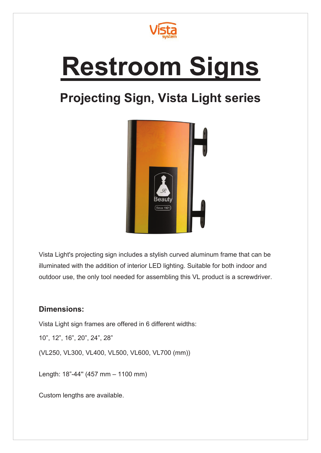

## **Restroom Signs**

## **Projecting Sign, Vista Light series**



Vista Light's projecting sign includes a stylish curved aluminum frame that can be illuminated with the addition of interior LED lighting. Suitable for both indoor and outdoor use, the only tool needed for assembling this VL product is a screwdriver.

## **Dimensions:**

Vista Light sign frames are offered in 6 different widths:

10", 12", 16", 20", 24", 28"

(VL250, VL300, VL400, VL500, VL600, VL700 (mm))

Length: 18"-44'' (457 mm – 1100 mm)

Custom lengths are available.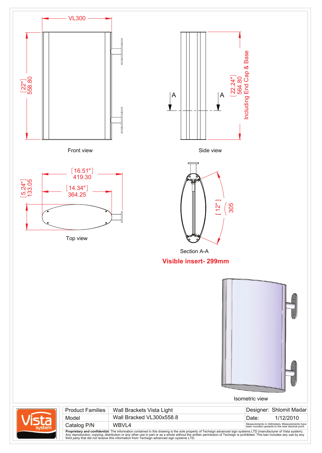

**Proprietary and confidential:** The information contained in this drawing is the sole property of Techsign advanced sign systems LTD (manufacturer of Vista system).<br>Any reproduction; copying; distribution or any other use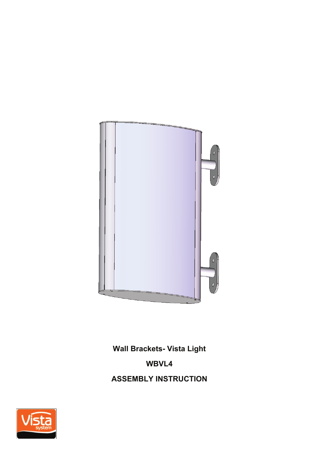

**Wall Brackets- Vista Light**

## **WBVL4**

**ASSEMBLY INSTRUCTION**

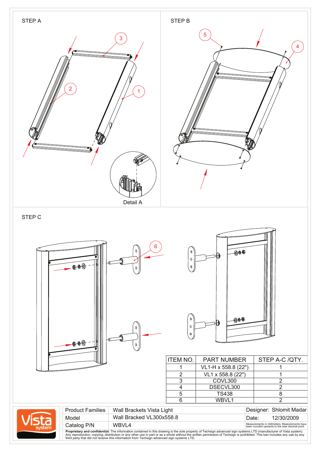

**Proprietary and confidential:** The information contained in this drawing is the sole property of Techsign advanced sign systems LTD (manufacturer of Vista system).<br>Any reproduction; copying; distribution or any other use